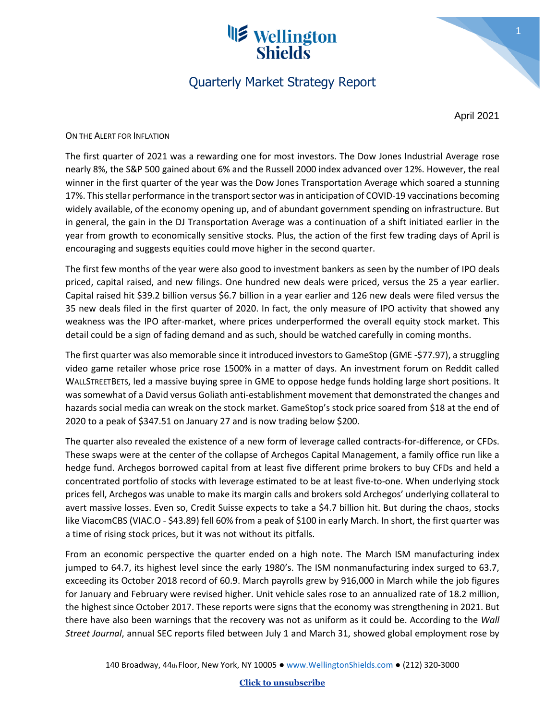# **IS** Wellington **Shields**

### Quarterly Market Strategy Report

April 2021

1

ON THE ALERT FOR INFLATION

The first quarter of 2021 was a rewarding one for most investors. The Dow Jones Industrial Average rose nearly 8%, the S&P 500 gained about 6% and the Russell 2000 index advanced over 12%. However, the real winner in the first quarter of the year was the Dow Jones Transportation Average which soared a stunning 17%. This stellar performance in the transport sector was in anticipation of COVID-19 vaccinations becoming widely available, of the economy opening up, and of abundant government spending on infrastructure. But in general, the gain in the DJ Transportation Average was a continuation of a shift initiated earlier in the year from growth to economically sensitive stocks. Plus, the action of the first few trading days of April is encouraging and suggests equities could move higher in the second quarter.

The first few months of the year were also good to investment bankers as seen by the number of IPO deals priced, capital raised, and new filings. One hundred new deals were priced, versus the 25 a year earlier. Capital raised hit \$39.2 billion versus \$6.7 billion in a year earlier and 126 new deals were filed versus the 35 new deals filed in the first quarter of 2020. In fact, the only measure of IPO activity that showed any weakness was the IPO after-market, where prices underperformed the overall equity stock market. This detail could be a sign of fading demand and as such, should be watched carefully in coming months.

The first quarter was also memorable since it introduced investorsto GameStop (GME -\$77.97), a struggling video game retailer whose price rose 1500% in a matter of days. An investment forum on Reddit called WALLSTREETBETS, led a massive buying spree in GME to oppose hedge funds holding large short positions. It was somewhat of a David versus Goliath anti-establishment movement that demonstrated the changes and hazards social media can wreak on the stock market. GameStop's stock price soared from \$18 at the end of 2020 to a peak of \$347.51 on January 27 and is now trading below \$200.

The quarter also revealed the existence of a new form of leverage called contracts-for-difference, or CFDs. These swaps were at the center of the collapse of Archegos Capital Management, a family office run like a hedge fund. Archegos borrowed capital from at least five different prime brokers to buy CFDs and held a concentrated portfolio of stocks with leverage estimated to be at least five-to-one. When underlying stock prices fell, Archegos was unable to make its margin calls and brokers sold Archegos' underlying collateral to avert massive losses. Even so, Credit Suisse expects to take a \$4.7 billion hit. But during the chaos, stocks like ViacomCBS (VIAC.O - \$43.89) fell 60% from a peak of \$100 in early March. In short, the first quarter was a time of rising stock prices, but it was not without its pitfalls.

From an economic perspective the quarter ended on a high note. The March ISM manufacturing index jumped to 64.7, its highest level since the early 1980's. The ISM nonmanufacturing index surged to 63.7, exceeding its October 2018 record of 60.9. March payrolls grew by 916,000 in March while the job figures for January and February were revised higher. Unit vehicle sales rose to an annualized rate of 18.2 million, the highest since October 2017. These reports were signs that the economy was strengthening in 2021. But there have also been warnings that the recovery was not as uniform as it could be. According to the *Wall Street Journal*, annual SEC reports filed between July 1 and March 31, showed global employment rose by